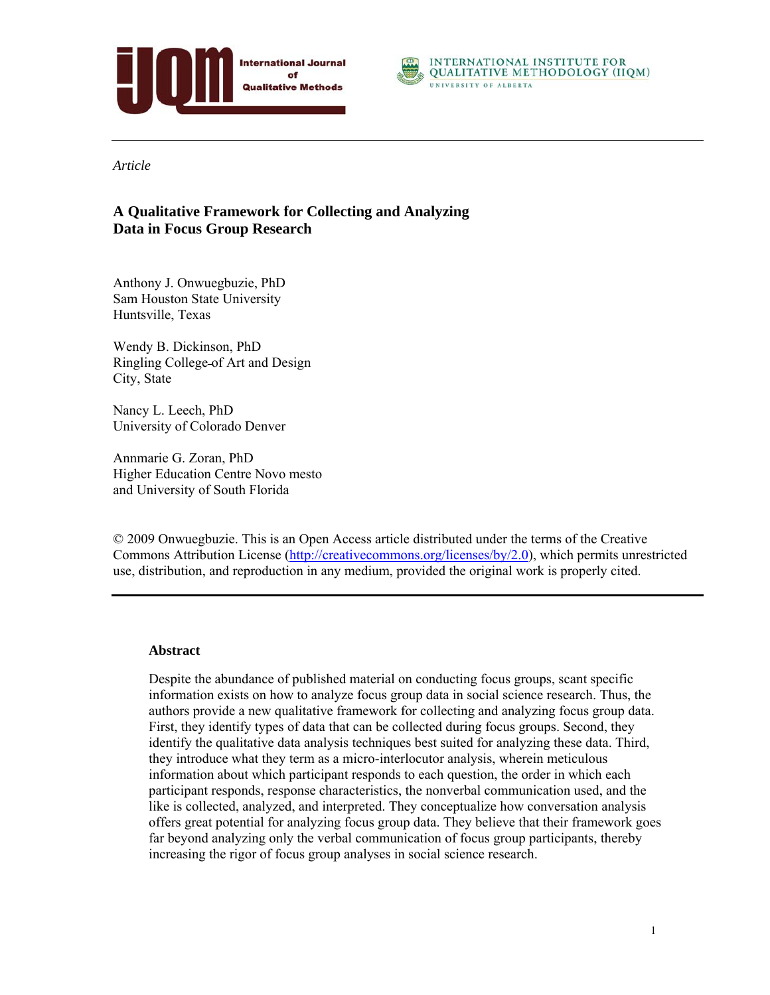



*Article* 

# **A Qualitative Framework for Collecting and Analyzing Data in Focus Group Research**

Anthony J. Onwuegbuzie, PhD Sam Houston State University Huntsville, Texas

Wendy B. Dickinson, PhD Ringling College of Art and Design City, State

Nancy L. Leech, PhD University of Colorado Denver

Annmarie G. Zoran, PhD Higher Education Centre Novo mesto and University of South Florida

© 2009 Onwuegbuzie. This is an Open Access article distributed under the terms of the Creative Commons Attribution License (http://creativecommons.org/licenses/by/2.0), which permits unrestricted use, distribution, and reproduction in any medium, provided the original work is properly cited.

### **Abstract**

Despite the abundance of published material on conducting focus groups, scant specific information exists on how to analyze focus group data in social science research. Thus, the authors provide a new qualitative framework for collecting and analyzing focus group data. First, they identify types of data that can be collected during focus groups. Second, they identify the qualitative data analysis techniques best suited for analyzing these data. Third, they introduce what they term as a micro-interlocutor analysis, wherein meticulous information about which participant responds to each question, the order in which each participant responds, response characteristics, the nonverbal communication used, and the like is collected, analyzed, and interpreted. They conceptualize how conversation analysis offers great potential for analyzing focus group data. They believe that their framework goes far beyond analyzing only the verbal communication of focus group participants, thereby increasing the rigor of focus group analyses in social science research.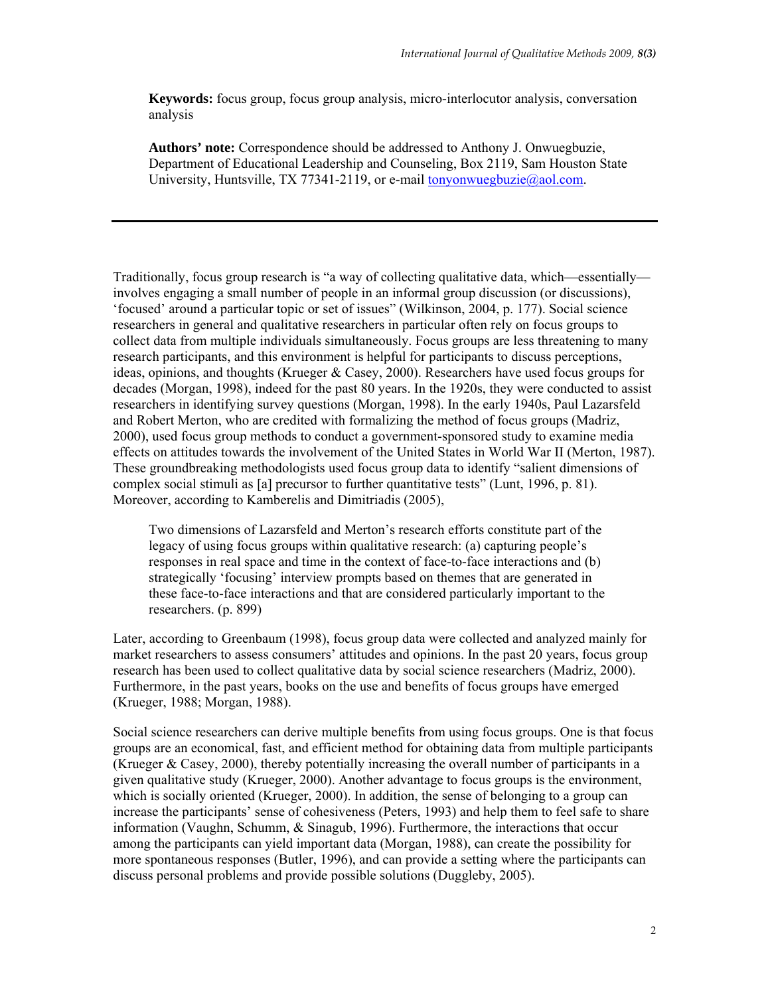**Keywords:** focus group, focus group analysis, micro-interlocutor analysis, conversation analysis

**Authors' note:** Correspondence should be addressed to Anthony J. Onwuegbuzie, Department of Educational Leadership and Counseling, Box 2119, Sam Houston State University, Huntsville, TX 77341-2119, or e-mail tonyonwuegbuzie@aol.com.

Traditionally, focus group research is "a way of collecting qualitative data, which—essentially involves engaging a small number of people in an informal group discussion (or discussions), 'focused' around a particular topic or set of issues" (Wilkinson, 2004, p. 177). Social science researchers in general and qualitative researchers in particular often rely on focus groups to collect data from multiple individuals simultaneously. Focus groups are less threatening to many research participants, and this environment is helpful for participants to discuss perceptions, ideas, opinions, and thoughts (Krueger & Casey, 2000). Researchers have used focus groups for decades (Morgan, 1998), indeed for the past 80 years. In the 1920s, they were conducted to assist researchers in identifying survey questions (Morgan, 1998). In the early 1940s, Paul Lazarsfeld and Robert Merton, who are credited with formalizing the method of focus groups (Madriz, 2000), used focus group methods to conduct a government-sponsored study to examine media effects on attitudes towards the involvement of the United States in World War II (Merton, 1987). These groundbreaking methodologists used focus group data to identify "salient dimensions of complex social stimuli as [a] precursor to further quantitative tests" (Lunt, 1996, p. 81). Moreover, according to Kamberelis and Dimitriadis (2005),

Two dimensions of Lazarsfeld and Merton's research efforts constitute part of the legacy of using focus groups within qualitative research: (a) capturing people's responses in real space and time in the context of face-to-face interactions and (b) strategically 'focusing' interview prompts based on themes that are generated in these face-to-face interactions and that are considered particularly important to the researchers. (p. 899)

Later, according to Greenbaum (1998), focus group data were collected and analyzed mainly for market researchers to assess consumers' attitudes and opinions. In the past 20 years, focus group research has been used to collect qualitative data by social science researchers (Madriz, 2000). Furthermore, in the past years, books on the use and benefits of focus groups have emerged (Krueger, 1988; Morgan, 1988).

Social science researchers can derive multiple benefits from using focus groups. One is that focus groups are an economical, fast, and efficient method for obtaining data from multiple participants (Krueger & Casey, 2000), thereby potentially increasing the overall number of participants in a given qualitative study (Krueger, 2000). Another advantage to focus groups is the environment, which is socially oriented (Krueger, 2000). In addition, the sense of belonging to a group can increase the participants' sense of cohesiveness (Peters, 1993) and help them to feel safe to share information (Vaughn, Schumm, & Sinagub, 1996). Furthermore, the interactions that occur among the participants can yield important data (Morgan, 1988), can create the possibility for more spontaneous responses (Butler, 1996), and can provide a setting where the participants can discuss personal problems and provide possible solutions (Duggleby, 2005).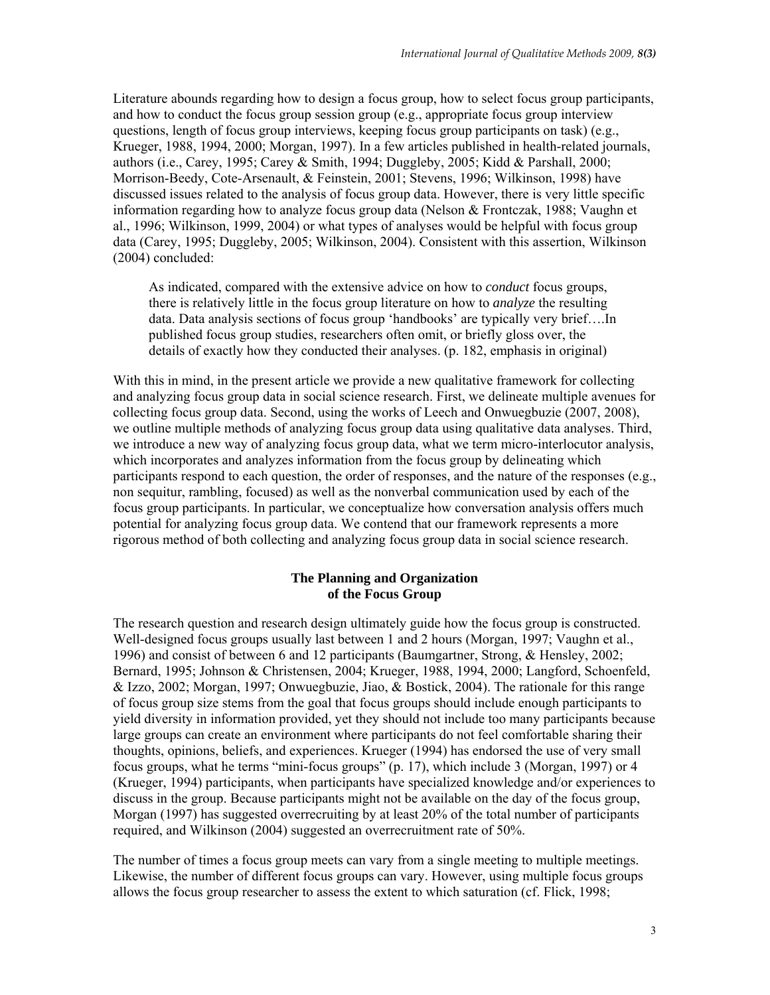Literature abounds regarding how to design a focus group, how to select focus group participants, and how to conduct the focus group session group (e.g., appropriate focus group interview questions, length of focus group interviews, keeping focus group participants on task) (e.g., Krueger, 1988, 1994, 2000; Morgan, 1997). In a few articles published in health-related journals, authors (i.e., Carey, 1995; Carey & Smith, 1994; Duggleby, 2005; Kidd & Parshall, 2000; Morrison-Beedy, Cote-Arsenault, & Feinstein, 2001; Stevens, 1996; Wilkinson, 1998) have discussed issues related to the analysis of focus group data. However, there is very little specific information regarding how to analyze focus group data (Nelson & Frontczak, 1988; Vaughn et al., 1996; Wilkinson, 1999, 2004) or what types of analyses would be helpful with focus group data (Carey, 1995; Duggleby, 2005; Wilkinson, 2004). Consistent with this assertion, Wilkinson (2004) concluded:

As indicated, compared with the extensive advice on how to *conduct* focus groups, there is relatively little in the focus group literature on how to *analyze* the resulting data. Data analysis sections of focus group 'handbooks' are typically very brief….In published focus group studies, researchers often omit, or briefly gloss over, the details of exactly how they conducted their analyses. (p. 182, emphasis in original)

With this in mind, in the present article we provide a new qualitative framework for collecting and analyzing focus group data in social science research. First, we delineate multiple avenues for collecting focus group data. Second, using the works of Leech and Onwuegbuzie (2007, 2008), we outline multiple methods of analyzing focus group data using qualitative data analyses. Third, we introduce a new way of analyzing focus group data, what we term micro-interlocutor analysis, which incorporates and analyzes information from the focus group by delineating which participants respond to each question, the order of responses, and the nature of the responses (e.g., non sequitur, rambling, focused) as well as the nonverbal communication used by each of the focus group participants. In particular, we conceptualize how conversation analysis offers much potential for analyzing focus group data. We contend that our framework represents a more rigorous method of both collecting and analyzing focus group data in social science research.

### **The Planning and Organization of the Focus Group**

The research question and research design ultimately guide how the focus group is constructed. Well-designed focus groups usually last between 1 and 2 hours (Morgan, 1997; Vaughn et al., 1996) and consist of between 6 and 12 participants (Baumgartner, Strong, & Hensley, 2002; Bernard, 1995; Johnson & Christensen, 2004; Krueger, 1988, 1994, 2000; Langford, Schoenfeld, & Izzo, 2002; Morgan, 1997; Onwuegbuzie, Jiao, & Bostick, 2004). The rationale for this range of focus group size stems from the goal that focus groups should include enough participants to yield diversity in information provided, yet they should not include too many participants because large groups can create an environment where participants do not feel comfortable sharing their thoughts, opinions, beliefs, and experiences. Krueger (1994) has endorsed the use of very small focus groups, what he terms "mini-focus groups" (p. 17), which include 3 (Morgan, 1997) or 4 (Krueger, 1994) participants, when participants have specialized knowledge and/or experiences to discuss in the group. Because participants might not be available on the day of the focus group, Morgan (1997) has suggested overrecruiting by at least 20% of the total number of participants required, and Wilkinson (2004) suggested an overrecruitment rate of 50%.

The number of times a focus group meets can vary from a single meeting to multiple meetings. Likewise, the number of different focus groups can vary. However, using multiple focus groups allows the focus group researcher to assess the extent to which saturation (cf. Flick, 1998;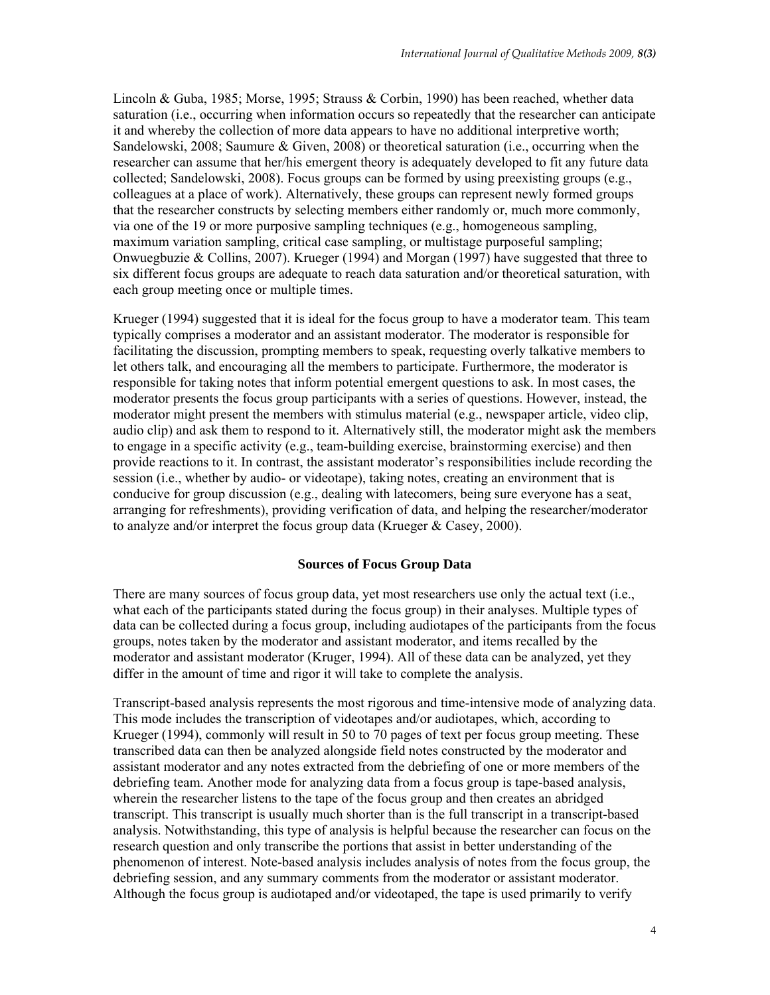Lincoln & Guba, 1985; Morse, 1995; Strauss & Corbin, 1990) has been reached, whether data saturation (i.e., occurring when information occurs so repeatedly that the researcher can anticipate it and whereby the collection of more data appears to have no additional interpretive worth; Sandelowski, 2008; Saumure & Given, 2008) or theoretical saturation (i.e., occurring when the researcher can assume that her/his emergent theory is adequately developed to fit any future data collected; Sandelowski, 2008). Focus groups can be formed by using preexisting groups (e.g., colleagues at a place of work). Alternatively, these groups can represent newly formed groups that the researcher constructs by selecting members either randomly or, much more commonly, via one of the 19 or more purposive sampling techniques (e.g., homogeneous sampling, maximum variation sampling, critical case sampling, or multistage purposeful sampling; Onwuegbuzie & Collins, 2007). Krueger (1994) and Morgan (1997) have suggested that three to six different focus groups are adequate to reach data saturation and/or theoretical saturation, with each group meeting once or multiple times.

Krueger (1994) suggested that it is ideal for the focus group to have a moderator team. This team typically comprises a moderator and an assistant moderator. The moderator is responsible for facilitating the discussion, prompting members to speak, requesting overly talkative members to let others talk, and encouraging all the members to participate. Furthermore, the moderator is responsible for taking notes that inform potential emergent questions to ask. In most cases, the moderator presents the focus group participants with a series of questions. However, instead, the moderator might present the members with stimulus material (e.g., newspaper article, video clip, audio clip) and ask them to respond to it. Alternatively still, the moderator might ask the members to engage in a specific activity (e.g., team-building exercise, brainstorming exercise) and then provide reactions to it. In contrast, the assistant moderator's responsibilities include recording the session (i.e., whether by audio- or videotape), taking notes, creating an environment that is conducive for group discussion (e.g., dealing with latecomers, being sure everyone has a seat, arranging for refreshments), providing verification of data, and helping the researcher/moderator to analyze and/or interpret the focus group data (Krueger & Casey, 2000).

### **Sources of Focus Group Data**

There are many sources of focus group data, yet most researchers use only the actual text (i.e., what each of the participants stated during the focus group) in their analyses. Multiple types of data can be collected during a focus group, including audiotapes of the participants from the focus groups, notes taken by the moderator and assistant moderator, and items recalled by the moderator and assistant moderator (Kruger, 1994). All of these data can be analyzed, yet they differ in the amount of time and rigor it will take to complete the analysis.

Transcript-based analysis represents the most rigorous and time-intensive mode of analyzing data. This mode includes the transcription of videotapes and/or audiotapes, which, according to Krueger (1994), commonly will result in 50 to 70 pages of text per focus group meeting. These transcribed data can then be analyzed alongside field notes constructed by the moderator and assistant moderator and any notes extracted from the debriefing of one or more members of the debriefing team. Another mode for analyzing data from a focus group is tape-based analysis, wherein the researcher listens to the tape of the focus group and then creates an abridged transcript. This transcript is usually much shorter than is the full transcript in a transcript-based analysis. Notwithstanding, this type of analysis is helpful because the researcher can focus on the research question and only transcribe the portions that assist in better understanding of the phenomenon of interest. Note-based analysis includes analysis of notes from the focus group, the debriefing session, and any summary comments from the moderator or assistant moderator. Although the focus group is audiotaped and/or videotaped, the tape is used primarily to verify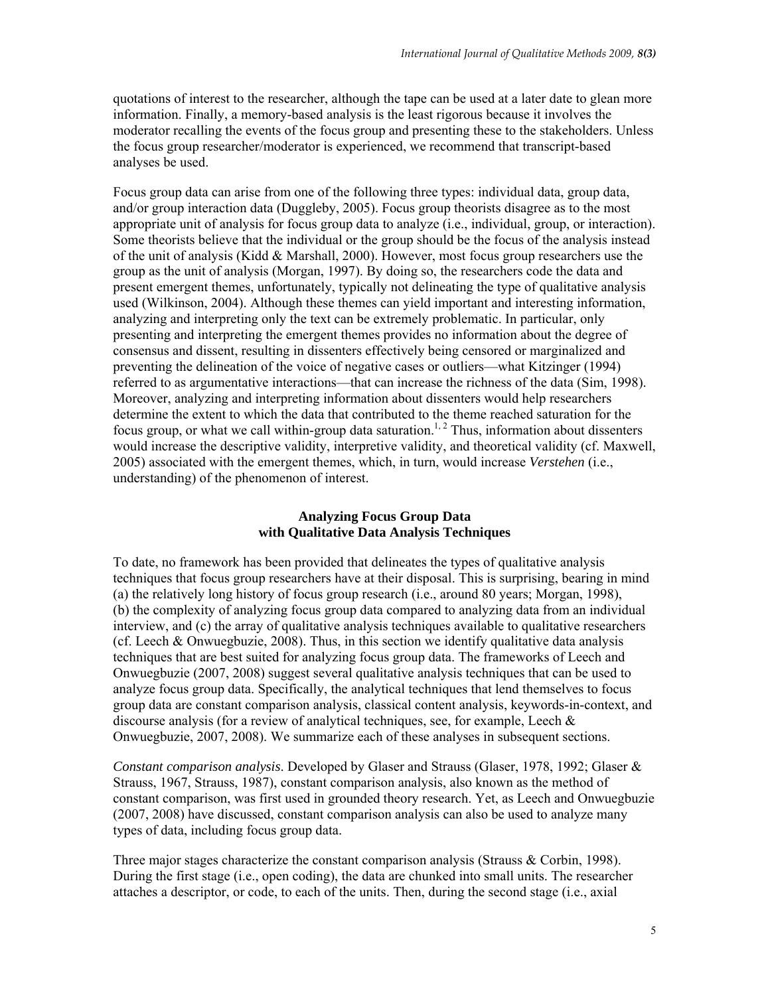quotations of interest to the researcher, although the tape can be used at a later date to glean more information. Finally, a memory-based analysis is the least rigorous because it involves the moderator recalling the events of the focus group and presenting these to the stakeholders. Unless the focus group researcher/moderator is experienced, we recommend that transcript-based analyses be used.

Focus group data can arise from one of the following three types: individual data, group data, and/or group interaction data (Duggleby, 2005). Focus group theorists disagree as to the most appropriate unit of analysis for focus group data to analyze (i.e., individual, group, or interaction). Some theorists believe that the individual or the group should be the focus of the analysis instead of the unit of analysis (Kidd  $&$  Marshall, 2000). However, most focus group researchers use the group as the unit of analysis (Morgan, 1997). By doing so, the researchers code the data and present emergent themes, unfortunately, typically not delineating the type of qualitative analysis used (Wilkinson, 2004). Although these themes can yield important and interesting information, analyzing and interpreting only the text can be extremely problematic. In particular, only presenting and interpreting the emergent themes provides no information about the degree of consensus and dissent, resulting in dissenters effectively being censored or marginalized and preventing the delineation of the voice of negative cases or outliers—what Kitzinger (1994) referred to as argumentative interactions—that can increase the richness of the data (Sim, 1998). Moreover, analyzing and interpreting information about dissenters would help researchers determine the extent to which the data that contributed to the theme reached saturation for the focus group, or what we call within-group data saturation.<sup>1, 2</sup> Thus, information about dissenters would increase the descriptive validity, interpretive validity, and theoretical validity (cf. Maxwell, 2005) associated with the emergent themes, which, in turn, would increase *Verstehen* (i.e., understanding) of the phenomenon of interest.

## **Analyzing Focus Group Data with Qualitative Data Analysis Techniques**

To date, no framework has been provided that delineates the types of qualitative analysis techniques that focus group researchers have at their disposal. This is surprising, bearing in mind (a) the relatively long history of focus group research (i.e., around 80 years; Morgan, 1998), (b) the complexity of analyzing focus group data compared to analyzing data from an individual interview, and (c) the array of qualitative analysis techniques available to qualitative researchers (cf. Leech & Onwuegbuzie, 2008). Thus, in this section we identify qualitative data analysis techniques that are best suited for analyzing focus group data. The frameworks of Leech and Onwuegbuzie (2007, 2008) suggest several qualitative analysis techniques that can be used to analyze focus group data. Specifically, the analytical techniques that lend themselves to focus group data are constant comparison analysis, classical content analysis, keywords-in-context, and discourse analysis (for a review of analytical techniques, see, for example, Leech  $\&$ Onwuegbuzie, 2007, 2008). We summarize each of these analyses in subsequent sections.

*Constant comparison analysis*. Developed by Glaser and Strauss (Glaser, 1978, 1992; Glaser & Strauss, 1967, Strauss, 1987), constant comparison analysis, also known as the method of constant comparison, was first used in grounded theory research. Yet, as Leech and Onwuegbuzie (2007, 2008) have discussed, constant comparison analysis can also be used to analyze many types of data, including focus group data.

Three major stages characterize the constant comparison analysis (Strauss & Corbin, 1998). During the first stage (i.e., open coding), the data are chunked into small units. The researcher attaches a descriptor, or code, to each of the units. Then, during the second stage (i.e., axial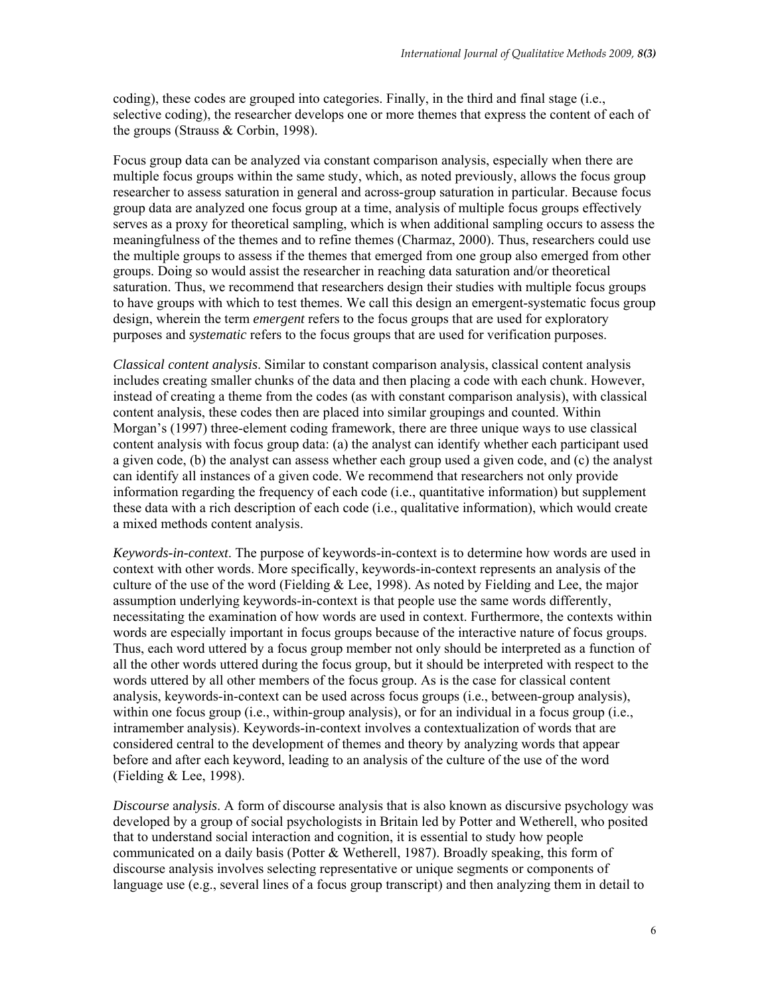coding), these codes are grouped into categories. Finally, in the third and final stage (i.e., selective coding), the researcher develops one or more themes that express the content of each of the groups (Strauss & Corbin, 1998).

Focus group data can be analyzed via constant comparison analysis, especially when there are multiple focus groups within the same study, which, as noted previously, allows the focus group researcher to assess saturation in general and across-group saturation in particular. Because focus group data are analyzed one focus group at a time, analysis of multiple focus groups effectively serves as a proxy for theoretical sampling, which is when additional sampling occurs to assess the meaningfulness of the themes and to refine themes (Charmaz, 2000). Thus, researchers could use the multiple groups to assess if the themes that emerged from one group also emerged from other groups. Doing so would assist the researcher in reaching data saturation and/or theoretical saturation. Thus, we recommend that researchers design their studies with multiple focus groups to have groups with which to test themes. We call this design an emergent-systematic focus group design, wherein the term *emergent* refers to the focus groups that are used for exploratory purposes and *systematic* refers to the focus groups that are used for verification purposes.

*Classical content analysis*. Similar to constant comparison analysis, classical content analysis includes creating smaller chunks of the data and then placing a code with each chunk. However, instead of creating a theme from the codes (as with constant comparison analysis), with classical content analysis, these codes then are placed into similar groupings and counted. Within Morgan's (1997) three-element coding framework, there are three unique ways to use classical content analysis with focus group data: (a) the analyst can identify whether each participant used a given code, (b) the analyst can assess whether each group used a given code, and (c) the analyst can identify all instances of a given code. We recommend that researchers not only provide information regarding the frequency of each code (i.e., quantitative information) but supplement these data with a rich description of each code (i.e., qualitative information), which would create a mixed methods content analysis.

*Keywords-in-context*. The purpose of keywords-in-context is to determine how words are used in context with other words. More specifically, keywords-in-context represents an analysis of the culture of the use of the word (Fielding  $&$  Lee, 1998). As noted by Fielding and Lee, the major assumption underlying keywords-in-context is that people use the same words differently, necessitating the examination of how words are used in context. Furthermore, the contexts within words are especially important in focus groups because of the interactive nature of focus groups. Thus, each word uttered by a focus group member not only should be interpreted as a function of all the other words uttered during the focus group, but it should be interpreted with respect to the words uttered by all other members of the focus group. As is the case for classical content analysis, keywords-in-context can be used across focus groups (i.e., between-group analysis), within one focus group (i.e., within-group analysis), or for an individual in a focus group (i.e., intramember analysis). Keywords-in-context involves a contextualization of words that are considered central to the development of themes and theory by analyzing words that appear before and after each keyword, leading to an analysis of the culture of the use of the word (Fielding & Lee, 1998).

*Discourse* a*nalysis*. A form of discourse analysis that is also known as discursive psychology was developed by a group of social psychologists in Britain led by Potter and Wetherell, who posited that to understand social interaction and cognition, it is essential to study how people communicated on a daily basis (Potter & Wetherell, 1987). Broadly speaking, this form of discourse analysis involves selecting representative or unique segments or components of language use (e.g., several lines of a focus group transcript) and then analyzing them in detail to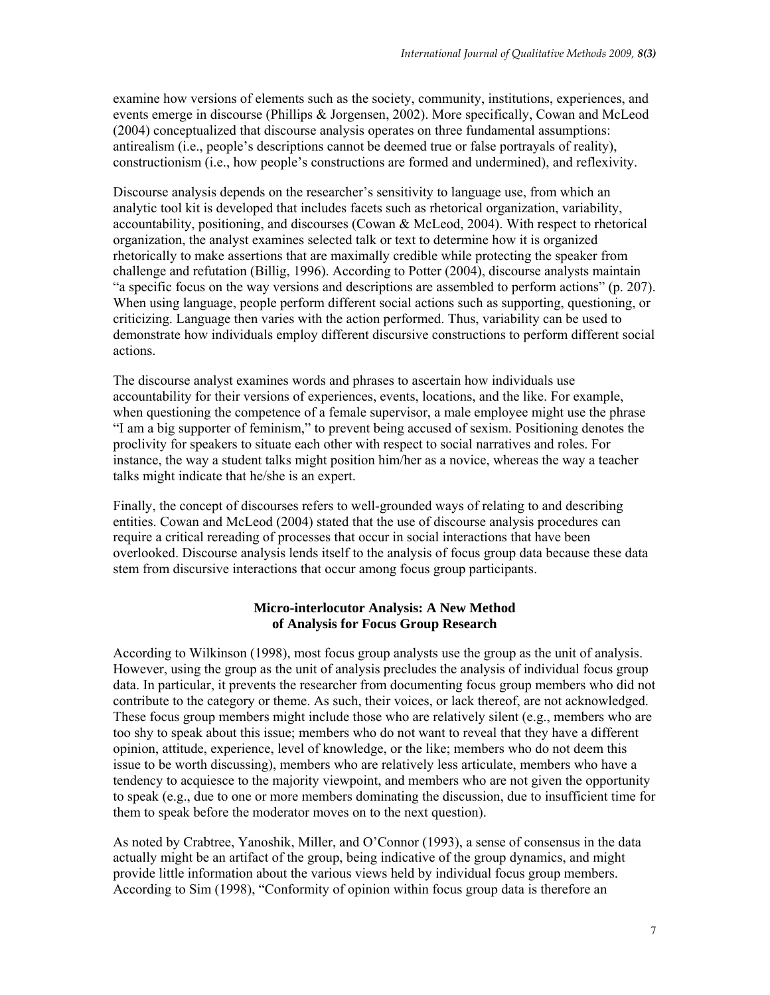examine how versions of elements such as the society, community, institutions, experiences, and events emerge in discourse (Phillips & Jorgensen, 2002). More specifically, Cowan and McLeod (2004) conceptualized that discourse analysis operates on three fundamental assumptions: antirealism (i.e., people's descriptions cannot be deemed true or false portrayals of reality), constructionism (i.e., how people's constructions are formed and undermined), and reflexivity.

Discourse analysis depends on the researcher's sensitivity to language use, from which an analytic tool kit is developed that includes facets such as rhetorical organization, variability, accountability, positioning, and discourses (Cowan & McLeod, 2004). With respect to rhetorical organization, the analyst examines selected talk or text to determine how it is organized rhetorically to make assertions that are maximally credible while protecting the speaker from challenge and refutation (Billig, 1996). According to Potter (2004), discourse analysts maintain "a specific focus on the way versions and descriptions are assembled to perform actions" (p. 207). When using language, people perform different social actions such as supporting, questioning, or criticizing. Language then varies with the action performed. Thus, variability can be used to demonstrate how individuals employ different discursive constructions to perform different social actions.

The discourse analyst examines words and phrases to ascertain how individuals use accountability for their versions of experiences, events, locations, and the like. For example, when questioning the competence of a female supervisor, a male employee might use the phrase "I am a big supporter of feminism," to prevent being accused of sexism. Positioning denotes the proclivity for speakers to situate each other with respect to social narratives and roles. For instance, the way a student talks might position him/her as a novice, whereas the way a teacher talks might indicate that he/she is an expert.

Finally, the concept of discourses refers to well-grounded ways of relating to and describing entities. Cowan and McLeod (2004) stated that the use of discourse analysis procedures can require a critical rereading of processes that occur in social interactions that have been overlooked. Discourse analysis lends itself to the analysis of focus group data because these data stem from discursive interactions that occur among focus group participants.

## **Micro-interlocutor Analysis: A New Method of Analysis for Focus Group Research**

According to Wilkinson (1998), most focus group analysts use the group as the unit of analysis. However, using the group as the unit of analysis precludes the analysis of individual focus group data. In particular, it prevents the researcher from documenting focus group members who did not contribute to the category or theme. As such, their voices, or lack thereof, are not acknowledged. These focus group members might include those who are relatively silent (e.g., members who are too shy to speak about this issue; members who do not want to reveal that they have a different opinion, attitude, experience, level of knowledge, or the like; members who do not deem this issue to be worth discussing), members who are relatively less articulate, members who have a tendency to acquiesce to the majority viewpoint, and members who are not given the opportunity to speak (e.g., due to one or more members dominating the discussion, due to insufficient time for them to speak before the moderator moves on to the next question).

As noted by Crabtree, Yanoshik, Miller, and O'Connor (1993), a sense of consensus in the data actually might be an artifact of the group, being indicative of the group dynamics, and might provide little information about the various views held by individual focus group members. According to Sim (1998), "Conformity of opinion within focus group data is therefore an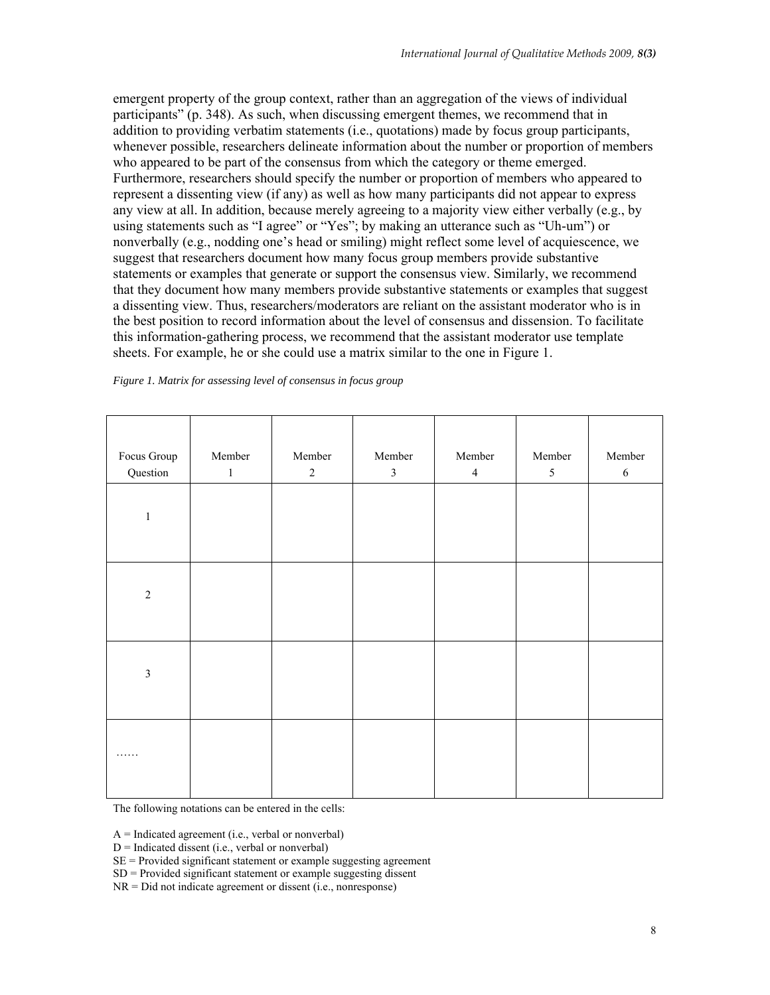emergent property of the group context, rather than an aggregation of the views of individual participants" (p. 348). As such, when discussing emergent themes, we recommend that in addition to providing verbatim statements (i.e., quotations) made by focus group participants, whenever possible, researchers delineate information about the number or proportion of members who appeared to be part of the consensus from which the category or theme emerged. Furthermore, researchers should specify the number or proportion of members who appeared to represent a dissenting view (if any) as well as how many participants did not appear to express any view at all. In addition, because merely agreeing to a majority view either verbally (e.g., by using statements such as "I agree" or "Yes"; by making an utterance such as "Uh-um") or nonverbally (e.g., nodding one's head or smiling) might reflect some level of acquiescence, we suggest that researchers document how many focus group members provide substantive statements or examples that generate or support the consensus view. Similarly, we recommend that they document how many members provide substantive statements or examples that suggest a dissenting view. Thus, researchers/moderators are reliant on the assistant moderator who is in the best position to record information about the level of consensus and dissension. To facilitate this information-gathering process, we recommend that the assistant moderator use template sheets. For example, he or she could use a matrix similar to the one in Figure 1.

*Figure 1. Matrix for assessing level of consensus in focus group* 

| Focus Group    | Member       | Member     | Member         | Member         | Member         | Member     |
|----------------|--------------|------------|----------------|----------------|----------------|------------|
| Question       | $\mathbf{1}$ | $\sqrt{2}$ | $\mathfrak{Z}$ | $\overline{4}$ | $\mathfrak{S}$ | $\sqrt{6}$ |
| $\,1\,$        |              |            |                |                |                |            |
| $\overline{2}$ |              |            |                |                |                |            |
| $\overline{3}$ |              |            |                |                |                |            |
| .              |              |            |                |                |                |            |

The following notations can be entered in the cells:

 $A = Indicated agreement (i.e., verbal or nonverbal)$ 

 $D = Indicated$  dissent (i.e., verbal or nonverbal)

 $SE =$  Provided significant statement or example suggesting agreement

 $SD = Provided significant statement or example suggesting dissent$ 

NR = Did not indicate agreement or dissent (i.e., nonresponse)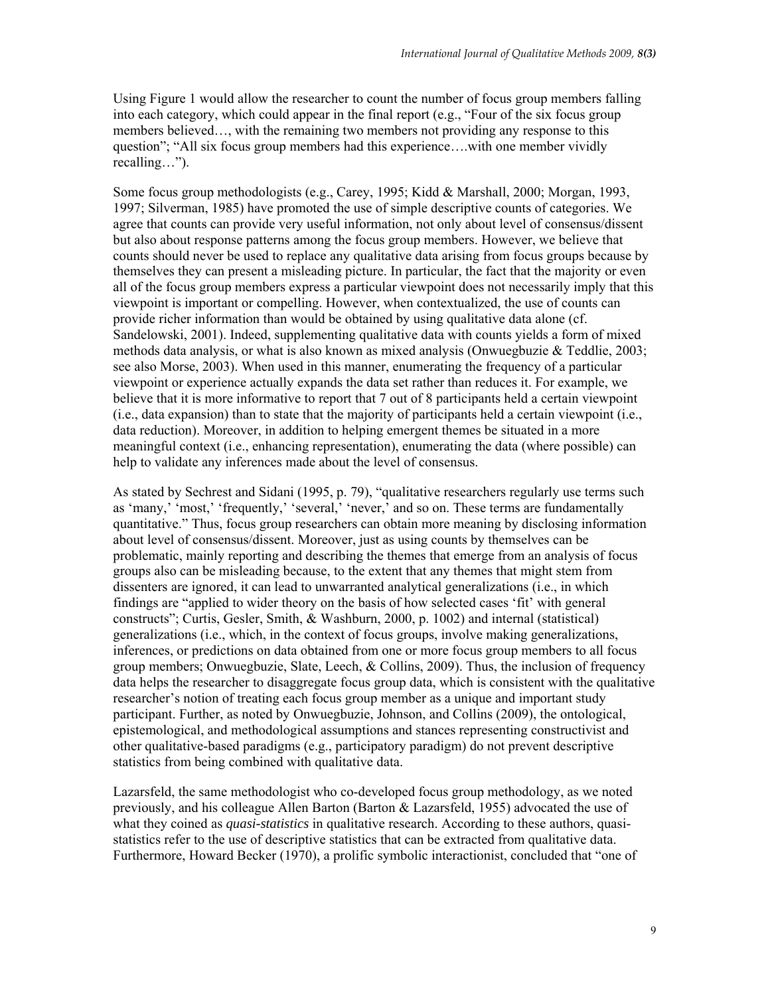Using Figure 1 would allow the researcher to count the number of focus group members falling into each category, which could appear in the final report (e.g., "Four of the six focus group members believed…, with the remaining two members not providing any response to this question"; "All six focus group members had this experience….with one member vividly recalling…").

Some focus group methodologists (e.g., Carey, 1995; Kidd & Marshall, 2000; Morgan, 1993, 1997; Silverman, 1985) have promoted the use of simple descriptive counts of categories. We agree that counts can provide very useful information, not only about level of consensus/dissent but also about response patterns among the focus group members. However, we believe that counts should never be used to replace any qualitative data arising from focus groups because by themselves they can present a misleading picture. In particular, the fact that the majority or even all of the focus group members express a particular viewpoint does not necessarily imply that this viewpoint is important or compelling. However, when contextualized, the use of counts can provide richer information than would be obtained by using qualitative data alone (cf. Sandelowski, 2001). Indeed, supplementing qualitative data with counts yields a form of mixed methods data analysis, or what is also known as mixed analysis (Onwuegbuzie & Teddlie, 2003; see also Morse, 2003). When used in this manner, enumerating the frequency of a particular viewpoint or experience actually expands the data set rather than reduces it. For example, we believe that it is more informative to report that 7 out of 8 participants held a certain viewpoint (i.e., data expansion) than to state that the majority of participants held a certain viewpoint (i.e., data reduction). Moreover, in addition to helping emergent themes be situated in a more meaningful context (i.e., enhancing representation), enumerating the data (where possible) can help to validate any inferences made about the level of consensus.

As stated by Sechrest and Sidani (1995, p. 79), "qualitative researchers regularly use terms such as 'many,' 'most,' 'frequently,' 'several,' 'never,' and so on. These terms are fundamentally quantitative." Thus, focus group researchers can obtain more meaning by disclosing information about level of consensus/dissent. Moreover, just as using counts by themselves can be problematic, mainly reporting and describing the themes that emerge from an analysis of focus groups also can be misleading because, to the extent that any themes that might stem from dissenters are ignored, it can lead to unwarranted analytical generalizations (i.e., in which findings are "applied to wider theory on the basis of how selected cases 'fit' with general constructs"; Curtis, Gesler, Smith, & Washburn, 2000, p. 1002) and internal (statistical) generalizations (i.e., which, in the context of focus groups, involve making generalizations, inferences, or predictions on data obtained from one or more focus group members to all focus group members; Onwuegbuzie, Slate, Leech,  $\&$  Collins, 2009). Thus, the inclusion of frequency data helps the researcher to disaggregate focus group data, which is consistent with the qualitative researcher's notion of treating each focus group member as a unique and important study participant. Further, as noted by Onwuegbuzie, Johnson, and Collins (2009), the ontological, epistemological, and methodological assumptions and stances representing constructivist and other qualitative-based paradigms (e.g., participatory paradigm) do not prevent descriptive statistics from being combined with qualitative data.

Lazarsfeld, the same methodologist who co-developed focus group methodology, as we noted previously, and his colleague Allen Barton (Barton & Lazarsfeld, 1955) advocated the use of what they coined as *quasi-statistics* in qualitative research. According to these authors, quasistatistics refer to the use of descriptive statistics that can be extracted from qualitative data. Furthermore, Howard Becker (1970), a prolific symbolic interactionist, concluded that "one of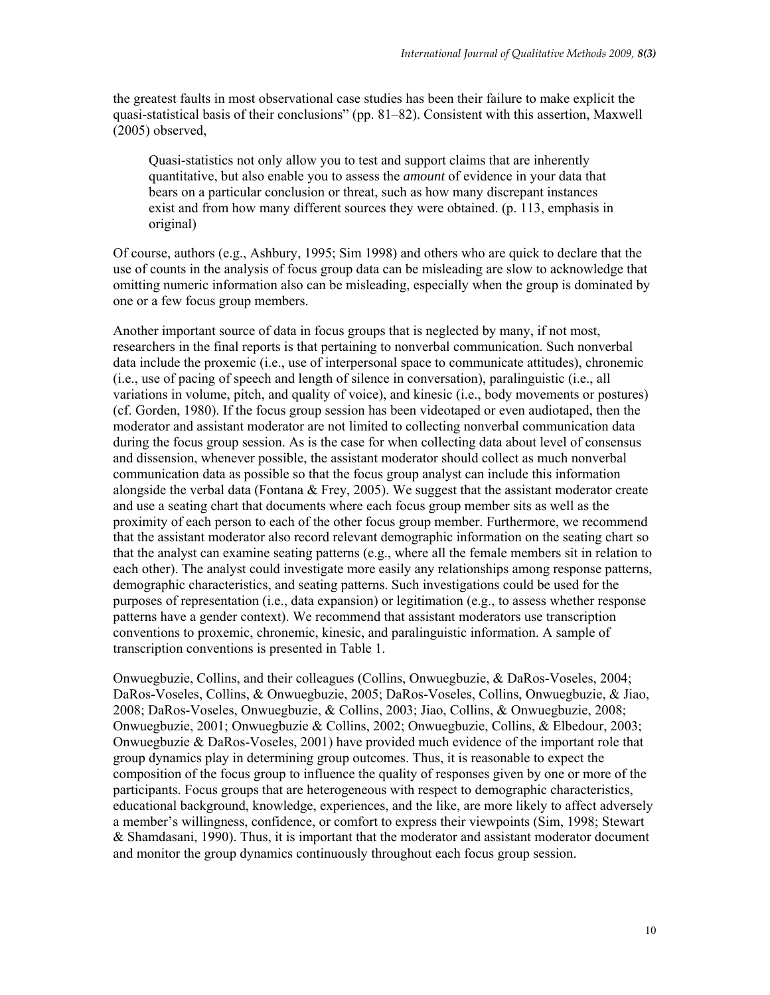the greatest faults in most observational case studies has been their failure to make explicit the quasi-statistical basis of their conclusions" (pp. 81–82). Consistent with this assertion, Maxwell (2005) observed,

Quasi-statistics not only allow you to test and support claims that are inherently quantitative, but also enable you to assess the *amount* of evidence in your data that bears on a particular conclusion or threat, such as how many discrepant instances exist and from how many different sources they were obtained. (p. 113, emphasis in original)

Of course, authors (e.g., Ashbury, 1995; Sim 1998) and others who are quick to declare that the use of counts in the analysis of focus group data can be misleading are slow to acknowledge that omitting numeric information also can be misleading, especially when the group is dominated by one or a few focus group members.

Another important source of data in focus groups that is neglected by many, if not most, researchers in the final reports is that pertaining to nonverbal communication. Such nonverbal data include the proxemic (i.e., use of interpersonal space to communicate attitudes), chronemic (i.e., use of pacing of speech and length of silence in conversation), paralinguistic (i.e., all variations in volume, pitch, and quality of voice), and kinesic (i.e., body movements or postures) (cf. Gorden, 1980). If the focus group session has been videotaped or even audiotaped, then the moderator and assistant moderator are not limited to collecting nonverbal communication data during the focus group session. As is the case for when collecting data about level of consensus and dissension, whenever possible, the assistant moderator should collect as much nonverbal communication data as possible so that the focus group analyst can include this information alongside the verbal data (Fontana  $\&$  Frey, 2005). We suggest that the assistant moderator create and use a seating chart that documents where each focus group member sits as well as the proximity of each person to each of the other focus group member. Furthermore, we recommend that the assistant moderator also record relevant demographic information on the seating chart so that the analyst can examine seating patterns (e.g., where all the female members sit in relation to each other). The analyst could investigate more easily any relationships among response patterns, demographic characteristics, and seating patterns. Such investigations could be used for the purposes of representation (i.e., data expansion) or legitimation (e.g., to assess whether response patterns have a gender context). We recommend that assistant moderators use transcription conventions to proxemic, chronemic, kinesic, and paralinguistic information. A sample of transcription conventions is presented in Table 1.

Onwuegbuzie, Collins, and their colleagues (Collins, Onwuegbuzie, & DaRos-Voseles, 2004; DaRos-Voseles, Collins, & Onwuegbuzie, 2005; DaRos-Voseles, Collins, Onwuegbuzie, & Jiao, 2008; DaRos-Voseles, Onwuegbuzie, & Collins, 2003; Jiao, Collins, & Onwuegbuzie, 2008; Onwuegbuzie, 2001; Onwuegbuzie & Collins, 2002; Onwuegbuzie, Collins, & Elbedour, 2003; Onwuegbuzie & DaRos-Voseles, 2001) have provided much evidence of the important role that group dynamics play in determining group outcomes. Thus, it is reasonable to expect the composition of the focus group to influence the quality of responses given by one or more of the participants. Focus groups that are heterogeneous with respect to demographic characteristics, educational background, knowledge, experiences, and the like, are more likely to affect adversely a member's willingness, confidence, or comfort to express their viewpoints (Sim, 1998; Stewart & Shamdasani, 1990). Thus, it is important that the moderator and assistant moderator document and monitor the group dynamics continuously throughout each focus group session.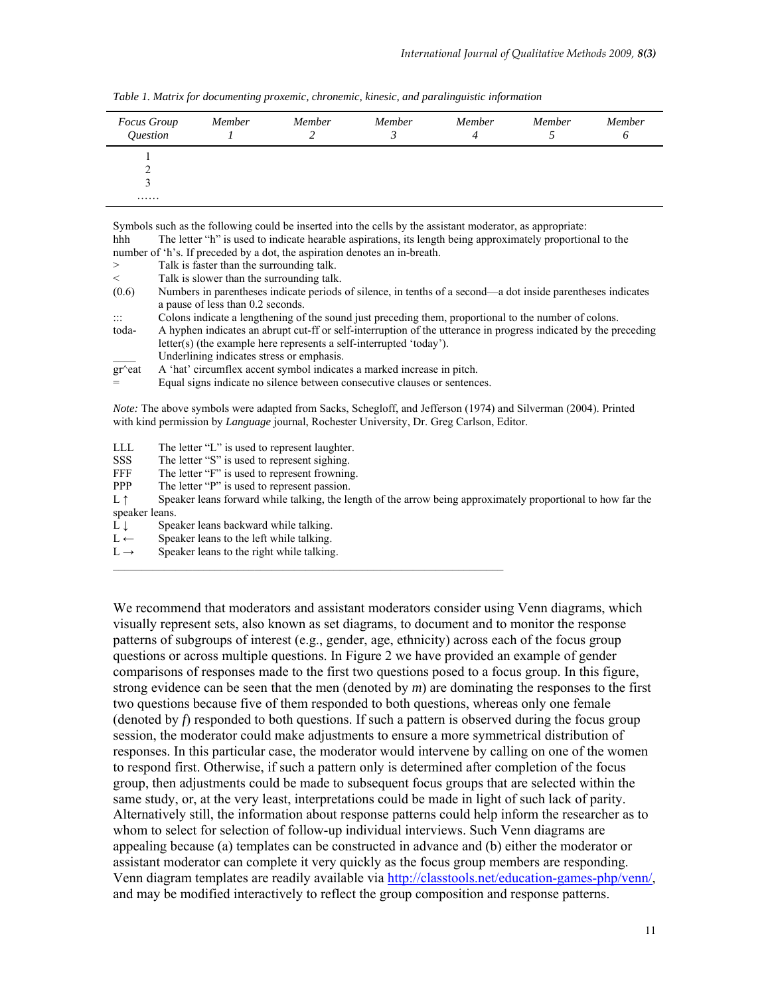| <b>Focus Group</b><br>Question | Member | Member | Member | Member<br>4 | Member | Member<br>O |
|--------------------------------|--------|--------|--------|-------------|--------|-------------|
|                                |        |        |        |             |        |             |
| .                              |        |        |        |             |        |             |

*Table 1. Matrix for documenting proxemic, chronemic, kinesic, and paralinguistic information* 

Symbols such as the following could be inserted into the cells by the assistant moderator, as appropriate: hhh The letter "h" is used to indicate hearable aspirations, its length being approximately proportional to the number of 'h's. If preceded by a dot, the aspiration denotes an in-breath. > Talk is faster than the surrounding talk.

- < Talk is slower than the surrounding talk.
- (0.6) Numbers in parentheses indicate periods of silence, in tenths of a second—a dot inside parentheses indicates a pause of less than 0.2 seconds.
- Colons indicate a lengthening of the sound just preceding them, proportional to the number of colons.
- toda- A hyphen indicates an abrupt cut-ff or self-interruption of the utterance in progress indicated by the preceding letter(s) (the example here represents a self-interrupted 'today').
- Underlining indicates stress or emphasis.<br> $gr$ <sup> $\sim$ eat A 'hat' circumflex accent symbol indicates</sup>
- A 'hat' circumflex accent symbol indicates a marked increase in pitch.
- Equal signs indicate no silence between consecutive clauses or sentences.

*Note:* The above symbols were adapted from Sacks, Schegloff, and Jefferson (1974) and Silverman (2004). Printed with kind permission by *Language* journal, Rochester University, Dr. Greg Carlson, Editor.

- LLL The letter "L" is used to represent laughter.
- SSS The letter "S" is used to represent sighing.
- FFF The letter "F" is used to represent frowning.
- PPP The letter "P" is used to represent passion.
- L  $\uparrow$  Speaker leans forward while talking, the length of the arrow being approximately proportional to how far the speaker leans.
- L ↓ Speaker leans backward while talking.<br>
L ← Speaker leans to the left while talking.
- Speaker leans to the left while talking.
- $L \rightarrow$  Speaker leans to the right while talking.

We recommend that moderators and assistant moderators consider using Venn diagrams, which visually represent sets, also known as set diagrams, to document and to monitor the response patterns of subgroups of interest (e.g., gender, age, ethnicity) across each of the focus group questions or across multiple questions. In Figure 2 we have provided an example of gender comparisons of responses made to the first two questions posed to a focus group. In this figure, strong evidence can be seen that the men (denoted by *m*) are dominating the responses to the first two questions because five of them responded to both questions, whereas only one female (denoted by *f*) responded to both questions. If such a pattern is observed during the focus group session, the moderator could make adjustments to ensure a more symmetrical distribution of responses. In this particular case, the moderator would intervene by calling on one of the women to respond first. Otherwise, if such a pattern only is determined after completion of the focus group, then adjustments could be made to subsequent focus groups that are selected within the same study, or, at the very least, interpretations could be made in light of such lack of parity. Alternatively still, the information about response patterns could help inform the researcher as to whom to select for selection of follow-up individual interviews. Such Venn diagrams are appealing because (a) templates can be constructed in advance and (b) either the moderator or assistant moderator can complete it very quickly as the focus group members are responding. Venn diagram templates are readily available via http://classtools.net/education-games-php/venn/, and may be modified interactively to reflect the group composition and response patterns.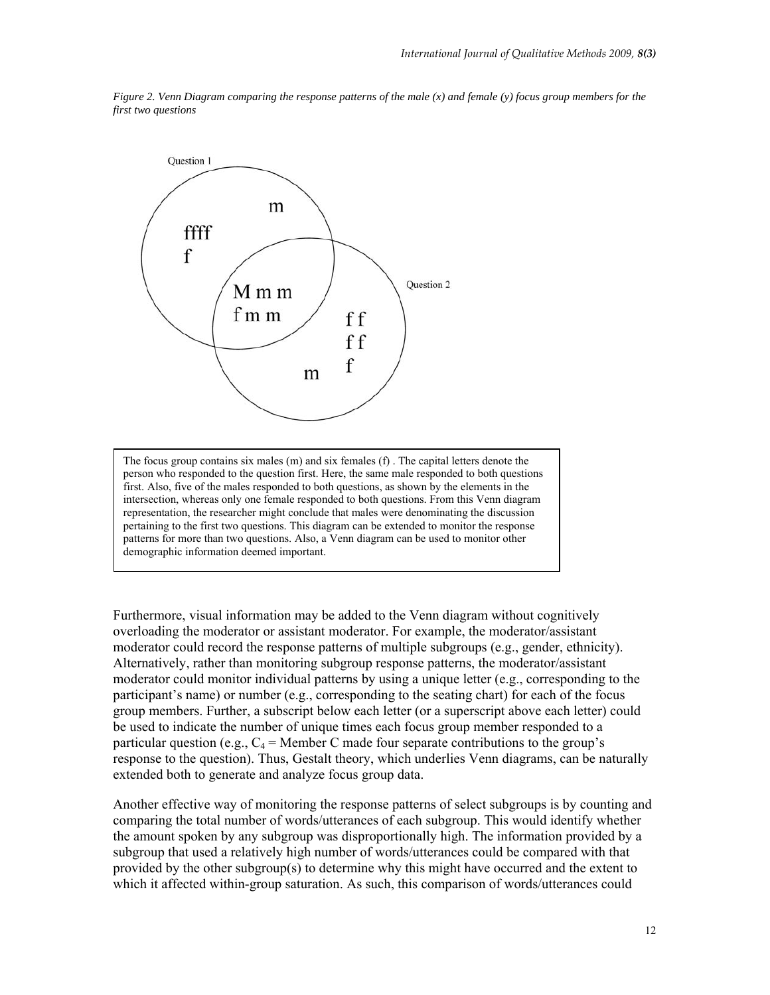

*Figure 2. Venn Diagram comparing the response patterns of the male (x) and female (y) focus group members for the first two questions* 

The focus group contains six males (m) and six females (f) . The capital letters denote the person who responded to the question first. Here, the same male responded to both questions first. Also, five of the males responded to both questions, as shown by the elements in the intersection, whereas only one female responded to both questions. From this Venn diagram representation, the researcher might conclude that males were denominating the discussion pertaining to the first two questions. This diagram can be extended to monitor the response patterns for more than two questions. Also, a Venn diagram can be used to monitor other demographic information deemed important.

Furthermore, visual information may be added to the Venn diagram without cognitively overloading the moderator or assistant moderator. For example, the moderator/assistant moderator could record the response patterns of multiple subgroups (e.g., gender, ethnicity). Alternatively, rather than monitoring subgroup response patterns, the moderator/assistant moderator could monitor individual patterns by using a unique letter (e.g., corresponding to the participant's name) or number (e.g., corresponding to the seating chart) for each of the focus group members. Further, a subscript below each letter (or a superscript above each letter) could be used to indicate the number of unique times each focus group member responded to a particular question (e.g.,  $C_4$  = Member C made four separate contributions to the group's response to the question). Thus, Gestalt theory, which underlies Venn diagrams, can be naturally extended both to generate and analyze focus group data.

Another effective way of monitoring the response patterns of select subgroups is by counting and comparing the total number of words/utterances of each subgroup. This would identify whether the amount spoken by any subgroup was disproportionally high. The information provided by a subgroup that used a relatively high number of words/utterances could be compared with that provided by the other subgroup(s) to determine why this might have occurred and the extent to which it affected within-group saturation. As such, this comparison of words/utterances could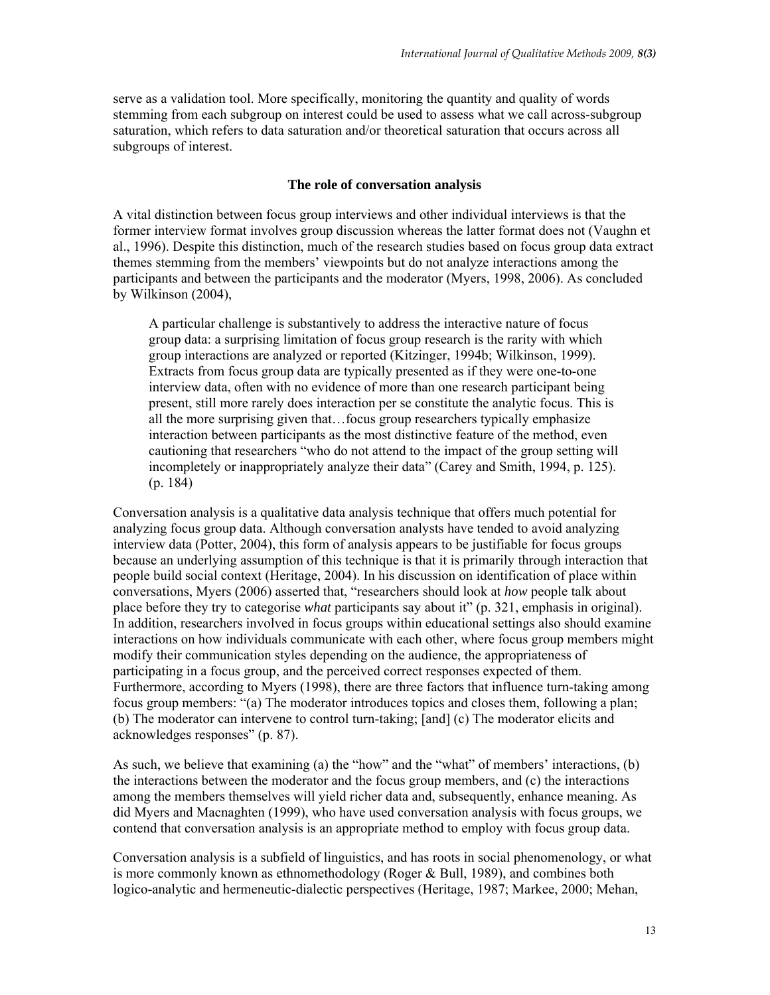serve as a validation tool. More specifically, monitoring the quantity and quality of words stemming from each subgroup on interest could be used to assess what we call across-subgroup saturation, which refers to data saturation and/or theoretical saturation that occurs across all subgroups of interest.

#### **The role of conversation analysis**

A vital distinction between focus group interviews and other individual interviews is that the former interview format involves group discussion whereas the latter format does not (Vaughn et al., 1996). Despite this distinction, much of the research studies based on focus group data extract themes stemming from the members' viewpoints but do not analyze interactions among the participants and between the participants and the moderator (Myers, 1998, 2006). As concluded by Wilkinson (2004),

A particular challenge is substantively to address the interactive nature of focus group data: a surprising limitation of focus group research is the rarity with which group interactions are analyzed or reported (Kitzinger, 1994b; Wilkinson, 1999). Extracts from focus group data are typically presented as if they were one-to-one interview data, often with no evidence of more than one research participant being present, still more rarely does interaction per se constitute the analytic focus. This is all the more surprising given that…focus group researchers typically emphasize interaction between participants as the most distinctive feature of the method, even cautioning that researchers "who do not attend to the impact of the group setting will incompletely or inappropriately analyze their data" (Carey and Smith, 1994, p. 125). (p. 184)

Conversation analysis is a qualitative data analysis technique that offers much potential for analyzing focus group data. Although conversation analysts have tended to avoid analyzing interview data (Potter, 2004), this form of analysis appears to be justifiable for focus groups because an underlying assumption of this technique is that it is primarily through interaction that people build social context (Heritage, 2004). In his discussion on identification of place within conversations, Myers (2006) asserted that, "researchers should look at *how* people talk about place before they try to categorise *what* participants say about it" (p. 321, emphasis in original). In addition, researchers involved in focus groups within educational settings also should examine interactions on how individuals communicate with each other, where focus group members might modify their communication styles depending on the audience, the appropriateness of participating in a focus group, and the perceived correct responses expected of them. Furthermore, according to Myers (1998), there are three factors that influence turn-taking among focus group members: "(a) The moderator introduces topics and closes them, following a plan; (b) The moderator can intervene to control turn-taking; [and] (c) The moderator elicits and acknowledges responses" (p. 87).

As such, we believe that examining (a) the "how" and the "what" of members' interactions, (b) the interactions between the moderator and the focus group members, and (c) the interactions among the members themselves will yield richer data and, subsequently, enhance meaning. As did Myers and Macnaghten (1999), who have used conversation analysis with focus groups, we contend that conversation analysis is an appropriate method to employ with focus group data.

Conversation analysis is a subfield of linguistics, and has roots in social phenomenology, or what is more commonly known as ethnomethodology (Roger & Bull, 1989), and combines both logico-analytic and hermeneutic-dialectic perspectives (Heritage, 1987; Markee, 2000; Mehan,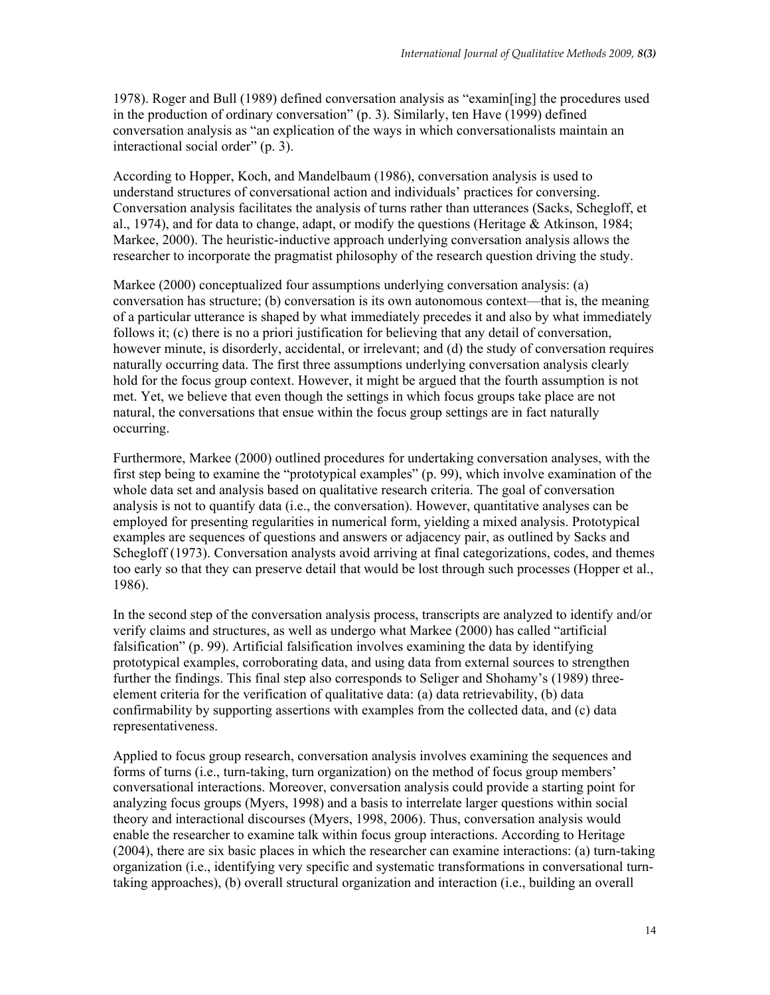1978). Roger and Bull (1989) defined conversation analysis as "examin[ing] the procedures used in the production of ordinary conversation" (p. 3). Similarly, ten Have (1999) defined conversation analysis as "an explication of the ways in which conversationalists maintain an interactional social order" (p. 3).

According to Hopper, Koch, and Mandelbaum (1986), conversation analysis is used to understand structures of conversational action and individuals' practices for conversing. Conversation analysis facilitates the analysis of turns rather than utterances (Sacks, Schegloff, et al., 1974), and for data to change, adapt, or modify the questions (Heritage & Atkinson, 1984; Markee, 2000). The heuristic-inductive approach underlying conversation analysis allows the researcher to incorporate the pragmatist philosophy of the research question driving the study.

Markee (2000) conceptualized four assumptions underlying conversation analysis: (a) conversation has structure; (b) conversation is its own autonomous context—that is, the meaning of a particular utterance is shaped by what immediately precedes it and also by what immediately follows it; (c) there is no a priori justification for believing that any detail of conversation, however minute, is disorderly, accidental, or irrelevant; and (d) the study of conversation requires naturally occurring data. The first three assumptions underlying conversation analysis clearly hold for the focus group context. However, it might be argued that the fourth assumption is not met. Yet, we believe that even though the settings in which focus groups take place are not natural, the conversations that ensue within the focus group settings are in fact naturally occurring.

Furthermore, Markee (2000) outlined procedures for undertaking conversation analyses, with the first step being to examine the "prototypical examples" (p. 99), which involve examination of the whole data set and analysis based on qualitative research criteria. The goal of conversation analysis is not to quantify data (i.e., the conversation). However, quantitative analyses can be employed for presenting regularities in numerical form, yielding a mixed analysis. Prototypical examples are sequences of questions and answers or adjacency pair, as outlined by Sacks and Schegloff (1973). Conversation analysts avoid arriving at final categorizations, codes, and themes too early so that they can preserve detail that would be lost through such processes (Hopper et al., 1986).

In the second step of the conversation analysis process, transcripts are analyzed to identify and/or verify claims and structures, as well as undergo what Markee (2000) has called "artificial falsification" (p. 99). Artificial falsification involves examining the data by identifying prototypical examples, corroborating data, and using data from external sources to strengthen further the findings. This final step also corresponds to Seliger and Shohamy's (1989) threeelement criteria for the verification of qualitative data: (a) data retrievability, (b) data confirmability by supporting assertions with examples from the collected data, and (c) data representativeness.

Applied to focus group research, conversation analysis involves examining the sequences and forms of turns (i.e., turn-taking, turn organization) on the method of focus group members' conversational interactions. Moreover, conversation analysis could provide a starting point for analyzing focus groups (Myers, 1998) and a basis to interrelate larger questions within social theory and interactional discourses (Myers, 1998, 2006). Thus, conversation analysis would enable the researcher to examine talk within focus group interactions. According to Heritage (2004), there are six basic places in which the researcher can examine interactions: (a) turn-taking organization (i.e., identifying very specific and systematic transformations in conversational turntaking approaches), (b) overall structural organization and interaction (i.e., building an overall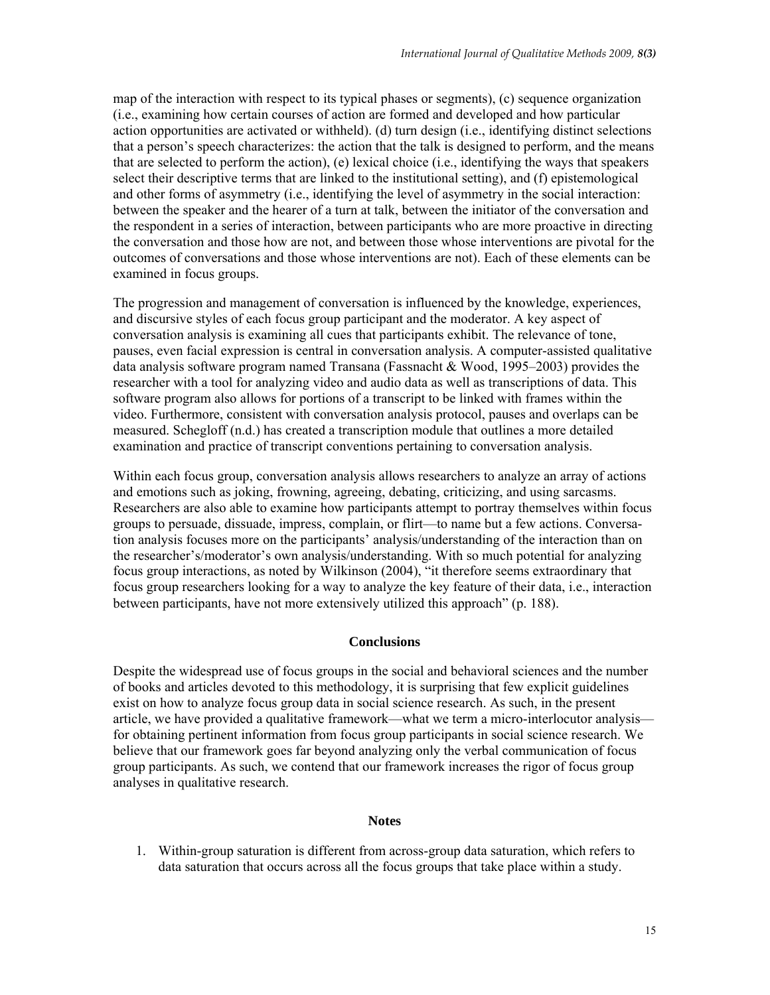map of the interaction with respect to its typical phases or segments), (c) sequence organization (i.e., examining how certain courses of action are formed and developed and how particular action opportunities are activated or withheld). (d) turn design (i.e., identifying distinct selections that a person's speech characterizes: the action that the talk is designed to perform, and the means that are selected to perform the action), (e) lexical choice (i.e., identifying the ways that speakers select their descriptive terms that are linked to the institutional setting), and (f) epistemological and other forms of asymmetry (i.e., identifying the level of asymmetry in the social interaction: between the speaker and the hearer of a turn at talk, between the initiator of the conversation and the respondent in a series of interaction, between participants who are more proactive in directing the conversation and those how are not, and between those whose interventions are pivotal for the outcomes of conversations and those whose interventions are not). Each of these elements can be examined in focus groups.

The progression and management of conversation is influenced by the knowledge, experiences, and discursive styles of each focus group participant and the moderator. A key aspect of conversation analysis is examining all cues that participants exhibit. The relevance of tone, pauses, even facial expression is central in conversation analysis. A computer-assisted qualitative data analysis software program named Transana (Fassnacht & Wood, 1995–2003) provides the researcher with a tool for analyzing video and audio data as well as transcriptions of data. This software program also allows for portions of a transcript to be linked with frames within the video. Furthermore, consistent with conversation analysis protocol, pauses and overlaps can be measured. Schegloff (n.d.) has created a transcription module that outlines a more detailed examination and practice of transcript conventions pertaining to conversation analysis.

Within each focus group, conversation analysis allows researchers to analyze an array of actions and emotions such as joking, frowning, agreeing, debating, criticizing, and using sarcasms. Researchers are also able to examine how participants attempt to portray themselves within focus groups to persuade, dissuade, impress, complain, or flirt—to name but a few actions. Conversation analysis focuses more on the participants' analysis/understanding of the interaction than on the researcher's/moderator's own analysis/understanding. With so much potential for analyzing focus group interactions, as noted by Wilkinson (2004), "it therefore seems extraordinary that focus group researchers looking for a way to analyze the key feature of their data, i.e., interaction between participants, have not more extensively utilized this approach" (p. 188).

## **Conclusions**

Despite the widespread use of focus groups in the social and behavioral sciences and the number of books and articles devoted to this methodology, it is surprising that few explicit guidelines exist on how to analyze focus group data in social science research. As such, in the present article, we have provided a qualitative framework—what we term a micro-interlocutor analysis for obtaining pertinent information from focus group participants in social science research. We believe that our framework goes far beyond analyzing only the verbal communication of focus group participants. As such, we contend that our framework increases the rigor of focus group analyses in qualitative research.

### **Notes**

1. Within-group saturation is different from across-group data saturation, which refers to data saturation that occurs across all the focus groups that take place within a study.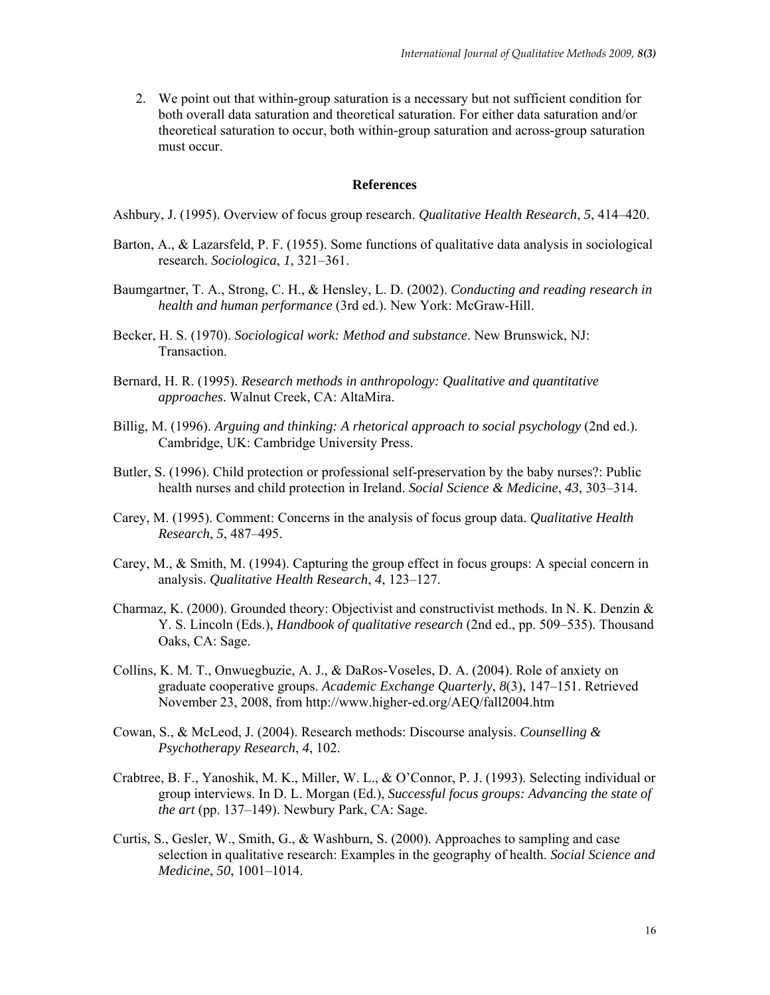2. We point out that within-group saturation is a necessary but not sufficient condition for both overall data saturation and theoretical saturation. For either data saturation and/or theoretical saturation to occur, both within-group saturation and across-group saturation must occur.

#### **References**

Ashbury, J. (1995). Overview of focus group research. *Qualitative Health Research*, *5*, 414–420.

- Barton, A., & Lazarsfeld, P. F. (1955). Some functions of qualitative data analysis in sociological research. *Sociologica*, *1*, 321–361.
- Baumgartner, T. A., Strong, C. H., & Hensley, L. D. (2002). *Conducting and reading research in health and human performance* (3rd ed.). New York: McGraw-Hill.
- Becker, H. S. (1970). *Sociological work: Method and substance*. New Brunswick, NJ: Transaction.
- Bernard, H. R. (1995). *Research methods in anthropology: Qualitative and quantitative approaches*. Walnut Creek, CA: AltaMira.
- Billig, M. (1996). *Arguing and thinking: A rhetorical approach to social psychology* (2nd ed.). Cambridge, UK: Cambridge University Press.
- Butler, S. (1996). Child protection or professional self-preservation by the baby nurses?: Public health nurses and child protection in Ireland. *Social Science & Medicine*, *43*, 303–314.
- Carey, M. (1995). Comment: Concerns in the analysis of focus group data. *Qualitative Health Research*, *5*, 487–495.
- Carey, M., & Smith, M. (1994). Capturing the group effect in focus groups: A special concern in analysis. *Qualitative Health Research*, *4*, 123–127.
- Charmaz, K. (2000). Grounded theory: Objectivist and constructivist methods. In N. K. Denzin & Y. S. Lincoln (Eds.), *Handbook of qualitative research* (2nd ed., pp. 509–535). Thousand Oaks, CA: Sage.
- Collins, K. M. T., Onwuegbuzie, A. J., & DaRos-Voseles, D. A. (2004). Role of anxiety on graduate cooperative groups. *Academic Exchange Quarterly*, *8*(3), 147–151. Retrieved November 23, 2008, from http://www.higher-ed.org/AEQ/fall2004.htm
- Cowan, S., & McLeod, J. (2004). Research methods: Discourse analysis. *Counselling & Psychotherapy Research*, *4*, 102.
- Crabtree, B. F., Yanoshik, M. K., Miller, W. L., & O'Connor, P. J. (1993). Selecting individual or group interviews. In D. L. Morgan (Ed.), *Successful focus groups: Advancing the state of the art* (pp. 137–149). Newbury Park, CA: Sage.
- Curtis, S., Gesler, W., Smith, G., & Washburn, S. (2000). Approaches to sampling and case selection in qualitative research: Examples in the geography of health. *Social Science and Medicine*, *50*, 1001–1014.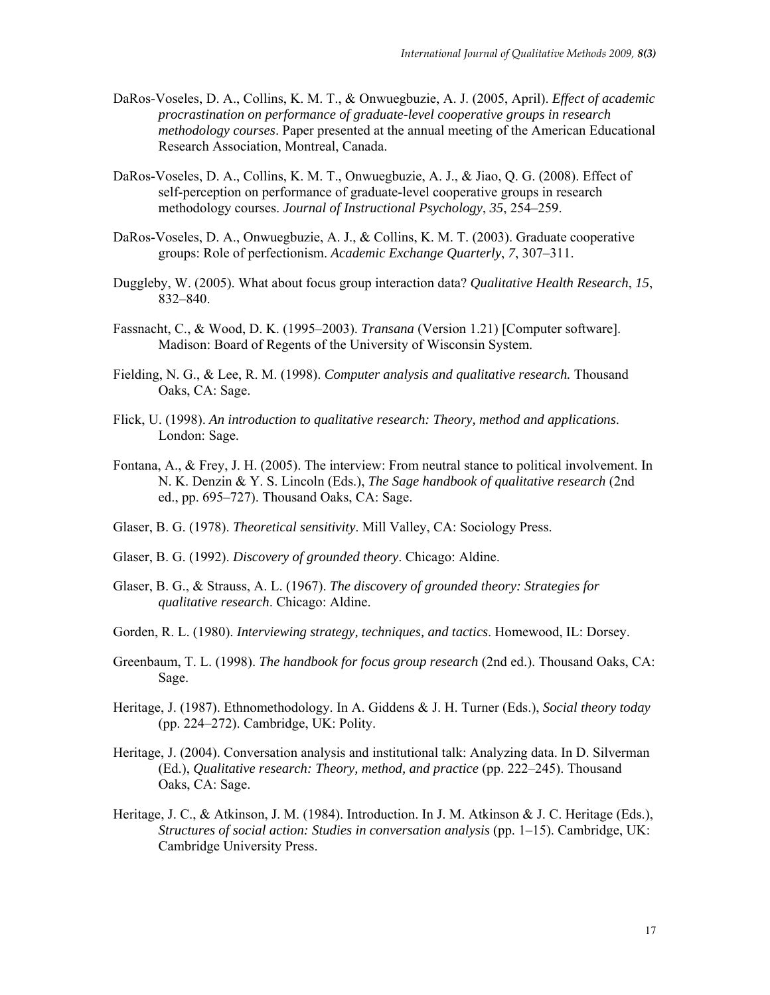- DaRos-Voseles, D. A., Collins, K. M. T., & Onwuegbuzie, A. J. (2005, April). *Effect of academic procrastination on performance of graduate-level cooperative groups in research methodology courses*. Paper presented at the annual meeting of the American Educational Research Association, Montreal, Canada.
- DaRos-Voseles, D. A., Collins, K. M. T., Onwuegbuzie, A. J., & Jiao, Q. G. (2008). Effect of self-perception on performance of graduate-level cooperative groups in research methodology courses. *Journal of Instructional Psychology*, *35*, 254–259.
- DaRos-Voseles, D. A., Onwuegbuzie, A. J., & Collins, K. M. T. (2003). Graduate cooperative groups: Role of perfectionism. *Academic Exchange Quarterly*, *7*, 307–311.
- Duggleby, W. (2005). What about focus group interaction data? *Qualitative Health Research*, *15*, 832–840.
- Fassnacht, C., & Wood, D. K. (1995–2003). *Transana* (Version 1.21) [Computer software]. Madison: Board of Regents of the University of Wisconsin System.
- Fielding, N. G., & Lee, R. M. (1998). *Computer analysis and qualitative research.* Thousand Oaks, CA: Sage.
- Flick, U. (1998). *An introduction to qualitative research: Theory, method and applications*. London: Sage.
- Fontana, A., & Frey, J. H. (2005). The interview: From neutral stance to political involvement. In N. K. Denzin & Y. S. Lincoln (Eds.), *The Sage handbook of qualitative research* (2nd ed., pp. 695–727). Thousand Oaks, CA: Sage.
- Glaser, B. G. (1978). *Theoretical sensitivity*. Mill Valley, CA: Sociology Press.
- Glaser, B. G. (1992). *Discovery of grounded theory*. Chicago: Aldine.
- Glaser, B. G., & Strauss, A. L. (1967). *The discovery of grounded theory: Strategies for qualitative research*. Chicago: Aldine.
- Gorden, R. L. (1980). *Interviewing strategy, techniques, and tactics*. Homewood, IL: Dorsey.
- Greenbaum, T. L. (1998). *The handbook for focus group research* (2nd ed.). Thousand Oaks, CA: Sage.
- Heritage, J. (1987). Ethnomethodology. In A. Giddens & J. H. Turner (Eds.), *Social theory today*  (pp. 224–272). Cambridge, UK: Polity.
- Heritage, J. (2004). Conversation analysis and institutional talk: Analyzing data. In D. Silverman (Ed.), *Qualitative research: Theory, method, and practice* (pp. 222–245). Thousand Oaks, CA: Sage.
- Heritage, J. C., & Atkinson, J. M. (1984). Introduction. In J. M. Atkinson & J. C. Heritage (Eds.), *Structures of social action: Studies in conversation analysis* (pp. 1–15). Cambridge, UK: Cambridge University Press.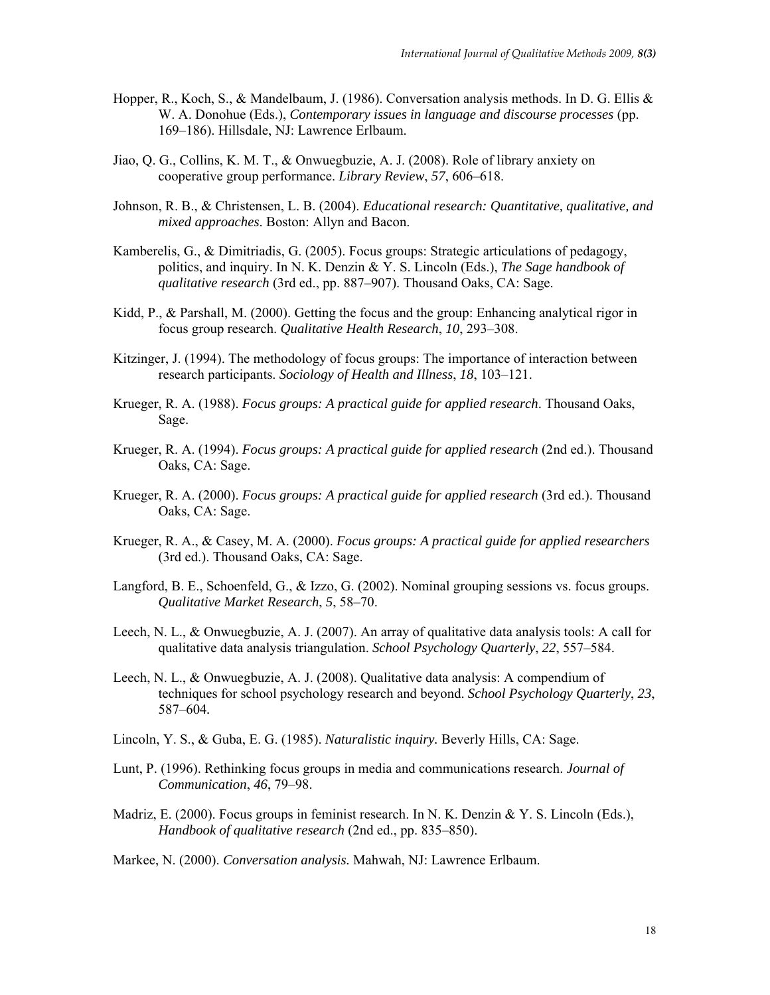- Hopper, R., Koch, S., & Mandelbaum, J. (1986). Conversation analysis methods. In D. G. Ellis & W. A. Donohue (Eds.), *Contemporary issues in language and discourse processes* (pp. 169–186). Hillsdale, NJ: Lawrence Erlbaum.
- Jiao, Q. G., Collins, K. M. T., & Onwuegbuzie, A. J. (2008). Role of library anxiety on cooperative group performance. *Library Review*, *57*, 606–618.
- Johnson, R. B., & Christensen, L. B. (2004). *Educational research: Quantitative, qualitative, and mixed approaches*. Boston: Allyn and Bacon.
- Kamberelis, G., & Dimitriadis, G. (2005). Focus groups: Strategic articulations of pedagogy, politics, and inquiry. In N. K. Denzin & Y. S. Lincoln (Eds.), *The Sage handbook of qualitative research* (3rd ed., pp. 887–907). Thousand Oaks, CA: Sage.
- Kidd, P., & Parshall, M. (2000). Getting the focus and the group: Enhancing analytical rigor in focus group research. *Qualitative Health Research*, *10*, 293–308.
- Kitzinger, J. (1994). The methodology of focus groups: The importance of interaction between research participants. *Sociology of Health and Illness*, *18*, 103–121.
- Krueger, R. A. (1988). *Focus groups: A practical guide for applied research*. Thousand Oaks, Sage.
- Krueger, R. A. (1994). *Focus groups: A practical guide for applied research* (2nd ed.). Thousand Oaks, CA: Sage.
- Krueger, R. A. (2000). *Focus groups: A practical guide for applied research* (3rd ed.). Thousand Oaks, CA: Sage.
- Krueger, R. A., & Casey, M. A. (2000). *Focus groups: A practical guide for applied researchers*  (3rd ed.). Thousand Oaks, CA: Sage.
- Langford, B. E., Schoenfeld, G., & Izzo, G. (2002). Nominal grouping sessions vs. focus groups. *Qualitative Market Research*, *5*, 58–70.
- Leech, N. L., & Onwuegbuzie, A. J. (2007). An array of qualitative data analysis tools: A call for qualitative data analysis triangulation. *School Psychology Quarterly*, *22*, 557–584.
- Leech, N. L., & Onwuegbuzie, A. J. (2008). Qualitative data analysis: A compendium of techniques for school psychology research and beyond. *School Psychology Quarterly*, *23*, 587–604*.*
- Lincoln, Y. S., & Guba, E. G. (1985). *Naturalistic inquiry.* Beverly Hills, CA: Sage.
- Lunt, P. (1996). Rethinking focus groups in media and communications research. *Journal of Communication*, *46*, 79–98.
- Madriz, E. (2000). Focus groups in feminist research. In N. K. Denzin & Y. S. Lincoln (Eds.), *Handbook of qualitative research* (2nd ed., pp. 835–850).
- Markee, N. (2000). *Conversation analysis.* Mahwah, NJ: Lawrence Erlbaum.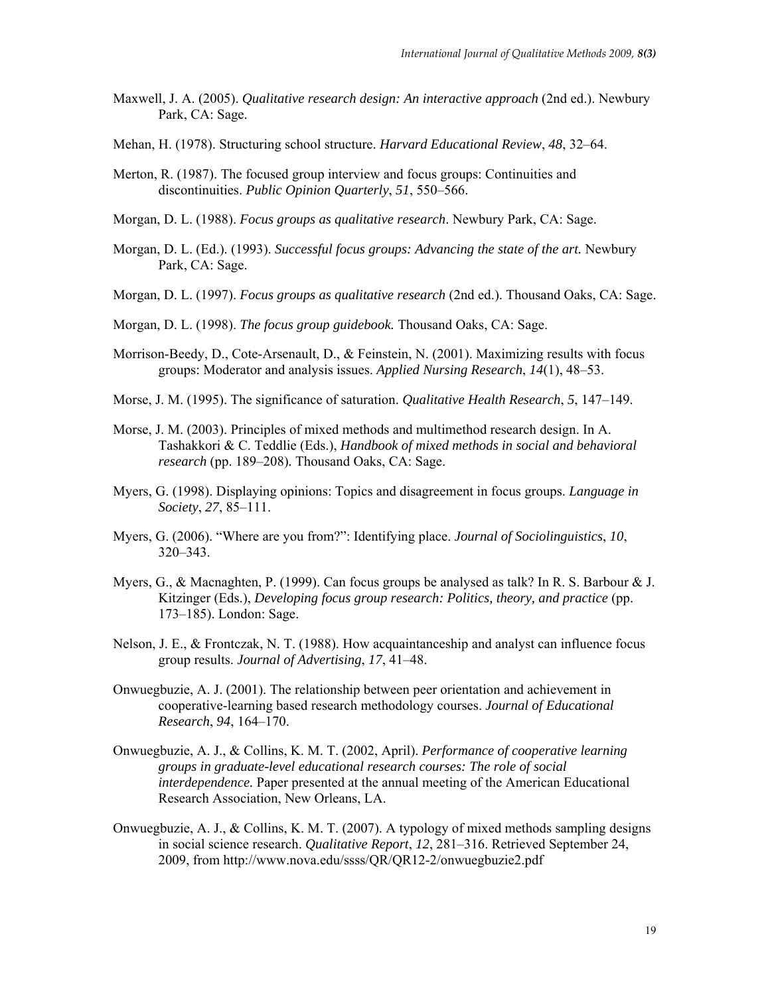- Maxwell, J. A. (2005). *Qualitative research design: An interactive approach* (2nd ed.). Newbury Park, CA: Sage.
- Mehan, H. (1978). Structuring school structure. *Harvard Educational Review*, *48*, 32–64.
- Merton, R. (1987). The focused group interview and focus groups: Continuities and discontinuities. *Public Opinion Quarterly*, *51*, 550–566.
- Morgan, D. L. (1988). *Focus groups as qualitative research*. Newbury Park, CA: Sage.
- Morgan, D. L. (Ed.). (1993). *Successful focus groups: Advancing the state of the art.* Newbury Park, CA: Sage.
- Morgan, D. L. (1997). *Focus groups as qualitative research* (2nd ed.). Thousand Oaks, CA: Sage.
- Morgan, D. L. (1998). *The focus group guidebook.* Thousand Oaks, CA: Sage.
- Morrison-Beedy, D., Cote-Arsenault, D., & Feinstein, N. (2001). Maximizing results with focus groups: Moderator and analysis issues. *Applied Nursing Research*, *14*(1), 48–53.
- Morse, J. M. (1995). The significance of saturation. *Qualitative Health Research*, *5*, 147–149.
- Morse, J. M. (2003). Principles of mixed methods and multimethod research design. In A. Tashakkori & C. Teddlie (Eds.), *Handbook of mixed methods in social and behavioral research* (pp. 189–208)*.* Thousand Oaks, CA: Sage.
- Myers, G. (1998). Displaying opinions: Topics and disagreement in focus groups. *Language in Society*, *27*, 85–111.
- Myers, G. (2006). "Where are you from?": Identifying place. *Journal of Sociolinguistics*, *10*, 320–343.
- Myers, G., & Macnaghten, P. (1999). Can focus groups be analysed as talk? In R. S. Barbour & J. Kitzinger (Eds.), *Developing focus group research: Politics, theory, and practice* (pp. 173–185). London: Sage.
- Nelson, J. E., & Frontczak, N. T. (1988). How acquaintanceship and analyst can influence focus group results. *Journal of Advertising*, *17*, 41–48.
- Onwuegbuzie, A. J. (2001). The relationship between peer orientation and achievement in cooperative-learning based research methodology courses. *Journal of Educational Research*, *94*, 164–170.
- Onwuegbuzie, A. J., & Collins, K. M. T. (2002, April). *Performance of cooperative learning groups in graduate-level educational research courses: The role of social interdependence.* Paper presented at the annual meeting of the American Educational Research Association, New Orleans, LA.
- Onwuegbuzie, A. J., & Collins, K. M. T. (2007). A typology of mixed methods sampling designs in social science research. *Qualitative Report*, *12*, 281–316. Retrieved September 24, 2009, from http://www.nova.edu/ssss/QR/QR12-2/onwuegbuzie2.pdf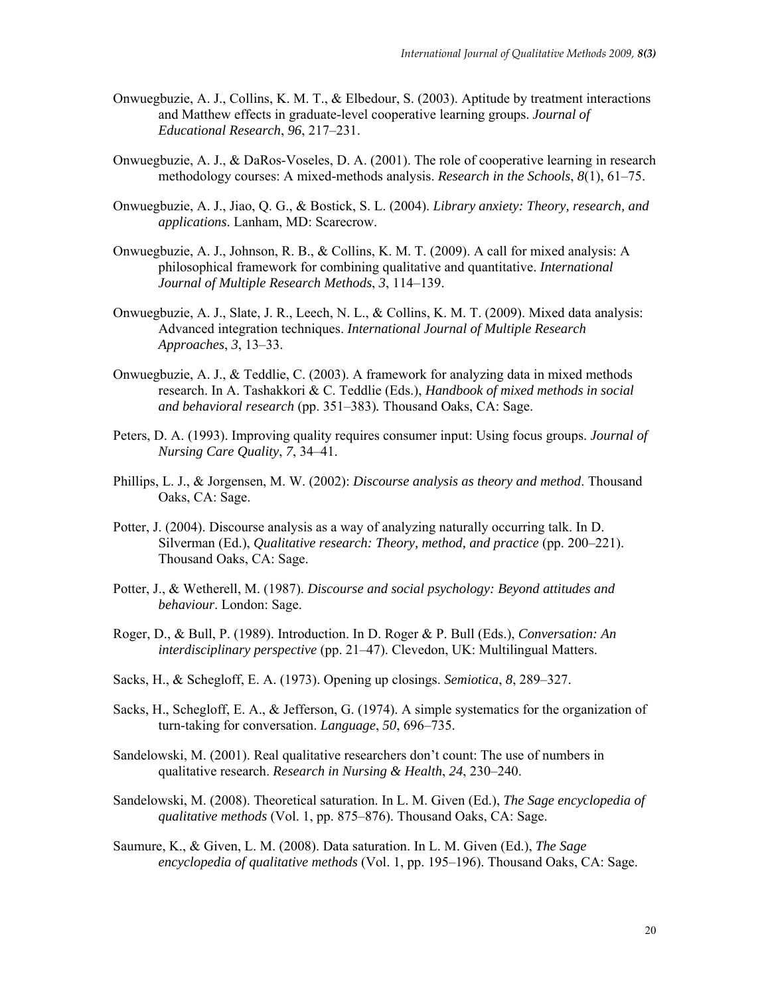- Onwuegbuzie, A. J., Collins, K. M. T., & Elbedour, S. (2003). Aptitude by treatment interactions and Matthew effects in graduate-level cooperative learning groups. *Journal of Educational Research*, *96*, 217–231.
- Onwuegbuzie, A. J., & DaRos-Voseles, D. A. (2001). The role of cooperative learning in research methodology courses: A mixed-methods analysis. *Research in the Schools*, *8*(1), 61–75.
- Onwuegbuzie, A. J., Jiao, Q. G., & Bostick, S. L. (2004). *Library anxiety: Theory, research, and applications*. Lanham, MD: Scarecrow.
- Onwuegbuzie, A. J., Johnson, R. B., & Collins, K. M. T. (2009). A call for mixed analysis: A philosophical framework for combining qualitative and quantitative. *International Journal of Multiple Research Methods*, *3*, 114–139.
- Onwuegbuzie, A. J., Slate, J. R., Leech, N. L., & Collins, K. M. T. (2009). Mixed data analysis: Advanced integration techniques. *International Journal of Multiple Research Approaches*, *3*, 13–33.
- Onwuegbuzie, A. J., & Teddlie, C. (2003). A framework for analyzing data in mixed methods research. In A. Tashakkori & C. Teddlie (Eds.), *Handbook of mixed methods in social and behavioral research* (pp. 351–383)*.* Thousand Oaks, CA: Sage.
- Peters, D. A. (1993). Improving quality requires consumer input: Using focus groups. *Journal of Nursing Care Quality*, *7*, 34–41.
- Phillips, L. J., & Jorgensen, M. W. (2002): *Discourse analysis as theory and method*. Thousand Oaks, CA: Sage.
- Potter, J. (2004). Discourse analysis as a way of analyzing naturally occurring talk. In D. Silverman (Ed.), *Qualitative research: Theory, method, and practice* (pp. 200–221). Thousand Oaks, CA: Sage.
- Potter, J., & Wetherell, M. (1987). *Discourse and social psychology: Beyond attitudes and behaviour*. London: Sage.
- Roger, D., & Bull, P. (1989). Introduction. In D. Roger & P. Bull (Eds.), *Conversation: An interdisciplinary perspective* (pp. 21–47). Clevedon, UK: Multilingual Matters.
- Sacks, H., & Schegloff, E. A. (1973). Opening up closings. *Semiotica*, *8*, 289–327.
- Sacks, H., Schegloff, E. A., & Jefferson, G. (1974). A simple systematics for the organization of turn-taking for conversation. *Language*, *50*, 696–735.
- Sandelowski, M. (2001). Real qualitative researchers don't count: The use of numbers in qualitative research. *Research in Nursing & Health*, *24*, 230–240.
- Sandelowski, M. (2008). Theoretical saturation. In L. M. Given (Ed.), *The Sage encyclopedia of qualitative methods* (Vol. 1, pp. 875–876). Thousand Oaks, CA: Sage.
- Saumure, K., & Given, L. M. (2008). Data saturation. In L. M. Given (Ed.), *The Sage encyclopedia of qualitative methods* (Vol. 1, pp. 195–196). Thousand Oaks, CA: Sage.